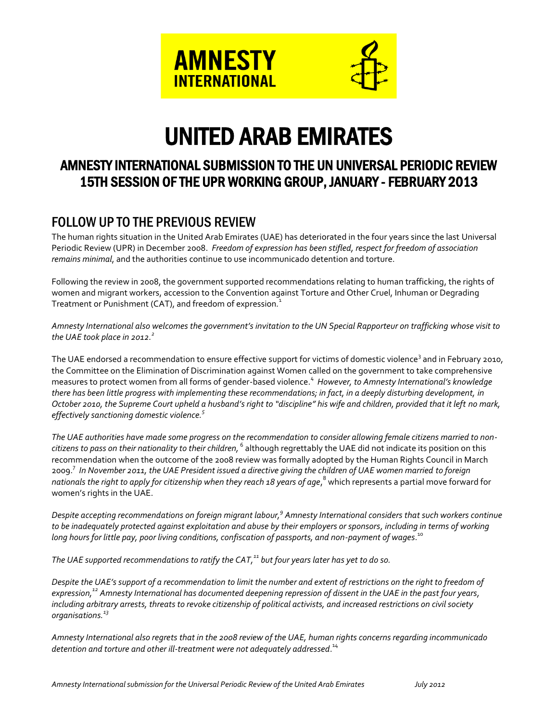

# UNITED ARAB EMIRATES

# AMNESTY INTERNATIONAL SUBMISSION TO THE UN UNIVERSAL PERIODIC REVIEW 15TH SESSION OF THE UPR WORKING GROUP, JANUARY - FEBRUARY 2013

# FOLLOW UP TO THE PREVIOUS REVIEW

The human rights situation in the United Arab Emirates (UAE) has deteriorated in the four years since the last Universal Periodic Review (UPR) in December 2008. *Freedom of expression has been stifled, respect for freedom of association remains minimal*, and the authorities continue to use incommunicado detention and torture.

Following the review in 2008, the government supported recommendations relating to human trafficking, the rights of women and migrant workers, accession to the Convention against Torture and Other Cruel, Inhuman or Degrading Treatment or Punishment (CAT), and freedom of expression*.* 1

*Amnesty International also welcomes the government's invitation to the UN Special Rapporteur on trafficking whose visit to the UAE took place in 2012. 2*

The UAE endorsed a recommendation to ensure effective support for victims of domestic violence<sup>3</sup> and in February 2010, the Committee on the Elimination of Discrimination against Women called on the government to take comprehensive measures to protect women from all forms of gender-based violence. 4 *However, to Amnesty International's knowledge there has been little progress with implementing these recommendations; in fact, in a deeply disturbing development, in October 2010, the Supreme Court upheld a husband's right to "discipline" his wife and children, provided that it left no mark, effectively sanctioning domestic violence.<sup>5</sup>*

*The UAE authorities have made some progress on the recommendation to consider allowing female citizens married to noncitizens to pass on their nationality to their children,*  $^6$  *although regrettably the UAE did not indicate its position on this* recommendation when the outcome of the 2008 review was formally adopted by the Human Rights Council in March 2009. 7 *In November 2011, the UAE President issued a directive giving the children of UAE women married to foreign nationals the right to apply for citizenship when they reach 18 years of age*, <sup>8</sup> which represents a partial move forward for women's rights in the UAE.

*Despite accepting recommendations on foreign migrant labour, 9 Amnesty International considers that such workers continue*  to be inadequately protected against exploitation and abuse by their employers or sponsors, including in terms of working *long hours for little pay, poor living conditions, confiscation of passports, and non-payment of wages*. 10

*The UAE supported recommendations to ratify the CAT, <sup>11</sup> but four years later has yet to do so.*

*Despite the UAE's support of a recommendation to limit the number and extent of restrictions on the right to freedom of expression, <sup>12</sup> Amnesty International has documented deepening repression of dissent in the UAE in the past four years, including arbitrary arrests, threats to revoke citizenship of political activists, and increased restrictions on civil society organisations. 13*

*Amnesty International also regrets that in the 2008 review of the UAE, human rights concerns regarding incommunicado detention and torture and other ill-treatment were not adequately addressed*. 14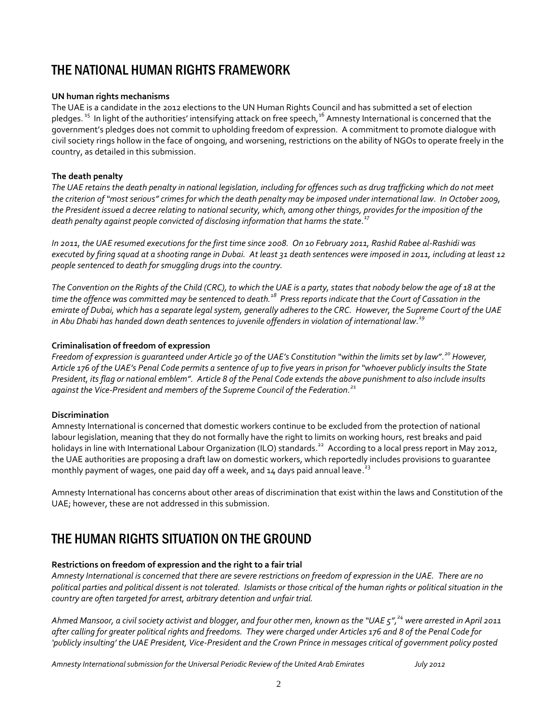# THE NATIONAL HUMAN RIGHTS FRAMEWORK

### **UN human rights mechanisms**

The UAE is a candidate in the 2012 elections to the UN Human Rights Council and has submitted a set of election pledges.<sup>15</sup> In light of the authorities' intensifying attack on free speech,<sup>16</sup> Amnesty International is concerned that the government's pledges does not commit to upholding freedom of expression. A commitment to promote dialogue with civil society rings hollow in the face of ongoing, and worsening, restrictions on the ability of NGOs to operate freely in the country, as detailed in this submission.

# **The death penalty**

*The UAE retains the death penalty in national legislation, including for offences such as drug trafficking which do not meet the criterion of "most serious" crimes for which the death penalty may be imposed under international law. In October 2009, the President issued a decree relating to national security, which, among other things, provides for the imposition of the death penalty against people convicted of disclosing information that harms the state. 17*

*In 2011, the UAE resumed executions for the first time since 2008. On 10 February 2011, Rashid Rabee al-Rashidi was executed by firing squad at a shooting range in Dubai. At least 31 death sentences were imposed in 2011, including at least 12 people sentenced to death for smuggling drugs into the country.* 

*The Convention on the Rights of the Child (CRC), to which the UAE is a party, states that nobody below the age of 18 at the time the offence was committed may be sentenced to death.<sup>18</sup> Press reports indicate that the Court of Cassation in the emirate of Dubai, which has a separate legal system, generally adheres to the CRC. However, the Supreme Court of the UAE in Abu Dhabi has handed down death sentences to juvenile offenders in violation of international law. 19*

# **Criminalisation of freedom of expression**

*Freedom of expression is guaranteed under Article 30 of the UAE's Constitution "within the limits set by law". <sup>20</sup> However, Article 176 of the UAE's Penal Code permits a sentence of up to five years in prison for "whoever publicly insults the State President, its flag or national emblem". Article 8 of the Penal Code extends the above punishment to also include insults against the Vice-President and members of the Supreme Council of the Federation. 21*

### **Discrimination**

Amnesty International is concerned that domestic workers continue to be excluded from the protection of national labour legislation, meaning that they do not formally have the right to limits on working hours, rest breaks and paid holidays in line with International Labour Organization (ILO) standards.<sup>22</sup> According to a local press report in May 2012, the UAE authorities are proposing a draft law on domestic workers, which reportedly includes provisions to guarantee monthly payment of wages, one paid day off a week, and 14 days paid annual leave.<sup>23</sup>

Amnesty International has concerns about other areas of discrimination that exist within the laws and Constitution of the UAE; however, these are not addressed in this submission.

# THE HUMAN RIGHTS SITUATION ON THE GROUND

### **Restrictions on freedom of expression and the right to a fair trial**

*Amnesty International is concerned that there are severe restrictions on freedom of expression in the UAE. There are no political parties and political dissent is not tolerated. Islamists or those critical of the human rights or political situation in the country are often targeted for arrest, arbitrary detention and unfair trial.* 

*Ahmed Mansoor, a civil society activist and blogger, and four other men, known as the "UAE 5", <sup>24</sup> were arrested in April 2011 after calling for greater political rights and freedoms. They were charged under Articles 176 and 8 of the Penal Code for 'publicly insulting' the UAE President, Vice-President and the Crown Prince in messages critical of government policy posted*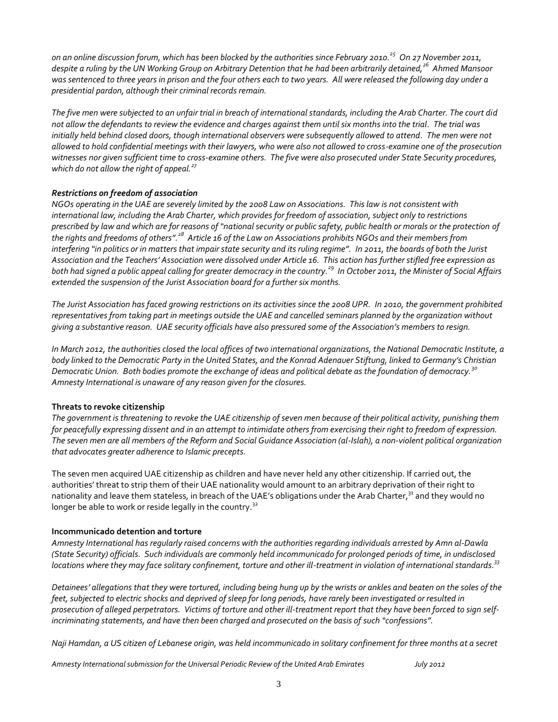*on an online discussion forum, which has been blocked by the authorities since February 2010. <sup>25</sup> On 27 November 2011, despite a ruling by the UN Working Group on Arbitrary Detention that he had been arbitrarily detained,<sup>26</sup> Ahmed Mansoor was sentenced to three years in prison and the four others each to two years. All were released the following day under a presidential pardon, although their criminal records remain.*

*The five men were subjected to an unfair trial in breach of international standards, including the Arab Charter. The court did not allow the defendants to review the evidence and charges against them until six months into the trial. The trial was initially held behind closed doors, though international observers were subsequently allowed to attend. The men were not allowed to hold confidential meetings with their lawyers, who were also not allowed to cross-examine one of the prosecution witnesses nor given sufficient time to cross-examine others. The five were also prosecuted under State Security procedures, which do not allow the right of appeal.<sup>27</sup>*

### *Restrictions on freedom of association*

*NGOs operating in the UAE are severely limited by the 2008 Law on Associations. This law is not consistent with international law, including the Arab Charter, which provides for freedom of association, subject only to restrictions prescribed by law and which are for reasons of "national security or public safety, public health or morals or the protection of the rights and freedoms of others". <sup>28</sup> Article 16 of the Law on Associations prohibits NGOs and their members from*  interfering "in politics or in matters that impair state security and its ruling regime". In 2011, the boards of both the Jurist *Association and the Teachers' Association were dissolved under Article 16. This action has further stifled free expression as both had signed a public appeal calling for greater democracy in the country. <sup>29</sup> In October 2011, the Minister of Social Affairs extended the suspension of the Jurist Association board for a further six months.* 

*The Jurist Association has faced growing restrictions on its activities since the 2008 UPR. In 2010, the government prohibited representatives from taking part in meetings outside the UAE and cancelled seminars planned by the organization without giving a substantive reason. UAE security officials have also pressured some of the Association's members to resign.*

*In March 2012, the authorities closed the local offices of two international organizations, the National Democratic Institute, a body linked to the Democratic Party in the United States, and the Konrad Adenauer Stiftung, linked to Germany's Christian Democratic Union. Both bodies promote the exchange of ideas and political debate as the foundation of democracy.<sup>30</sup> Amnesty International is unaware of any reason given for the closures.*

#### **Threats to revoke citizenship**

*The government is threatening to revoke the UAE citizenship of seven men because of their political activity, punishing them for peacefully expressing dissent and in an attempt to intimidate others from exercising their right to freedom of expression. The seven men are all members of the Reform and Social Guidance Association (al-Islah), a non-violent political organization that advocates greater adherence to Islamic precepts.*

The seven men acquired UAE citizenship as children and have never held any other citizenship. If carried out, the authorities' threat to strip them of their UAE nationality would amount to an arbitrary deprivation of their right to nationality and leave them stateless, in breach of the UAE's obligations under the Arab Charter,<sup>31</sup> and they would no longer be able to work or reside legally in the country.<sup>32</sup>

#### **Incommunicado detention and torture**

*Amnesty International has regularly raised concerns with the authorities regarding individuals arrested by Amn al-Dawla (State Security) officials. Such individuals are commonly held incommunicado for prolonged periods of time, in undisclosed locations where they may face solitary confinement, torture and other ill-treatment in violation of international standards. 33*

*Detainees' allegations that they were tortured, including being hung up by the wrists or ankles and beaten on the soles of the feet, subjected to electric shocks and deprived of sleep for long periods, have rarely been investigated or resulted in prosecution of alleged perpetrators. Victims of torture and other ill-treatment report that they have been forced to sign selfincriminating* statements, and have then been charged and prosecuted on the basis of such "confessions".

*Naji Hamdan, a US citizen of Lebanese origin, was held incommunicado in solitary confinement for three months at a secret*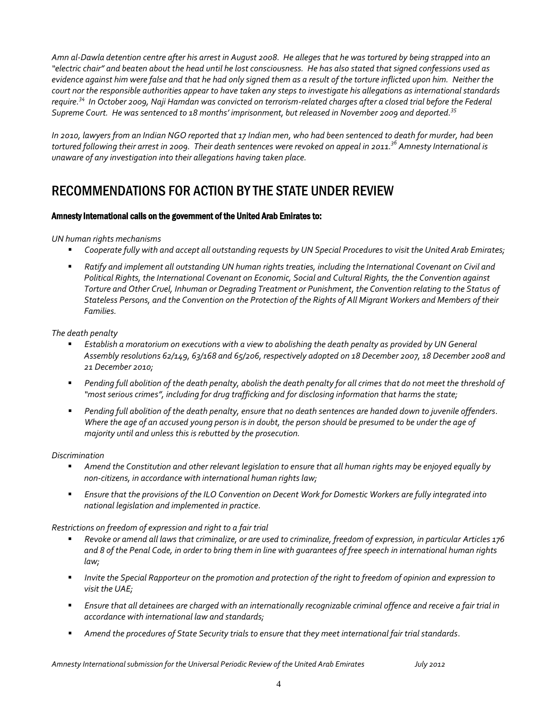*Amn al-Dawla detention centre after his arrest in August 2008. He alleges that he was tortured by being strapped into an "electric chair" and beaten about the head until he lost consciousness. He has also stated that signed confessions used as evidence against him were false and that he had only signed them as a result of the torture inflicted upon him. Neither the court nor the responsible authorities appear to have taken any steps to investigate his allegations as international standards require. <sup>34</sup> In October 2009, Naji Hamdan was convicted on terrorism-related charges after a closed trial before the Federal Supreme Court. He was sentenced to 18 months' imprisonment, but released in November 2009 and deported. 35*

*In 2010, lawyers from an Indian NGO reported that 17 Indian men, who had been sentenced to death for murder, had been tortured following their arrest in 2009. Their death sentences were revoked on appeal in 2011. <sup>36</sup> Amnesty International is unaware of any investigation into their allegations having taken place.* 

# RECOMMENDATIONS FOR ACTION BY THE STATE UNDER REVIEW

### Amnesty International calls on the government of the United Arab Emirates to:

#### *UN human rights mechanisms*

- *Cooperate fully with and accept all outstanding requests by UN Special Procedures to visit the United Arab Emirates;*
- **Ratify and implement all outstanding UN human rights treaties, including the International Covenant on Civil and** *Political Rights, the International Covenant on Economic, Social and Cultural Rights, the the Convention against Torture and Other Cruel, Inhuman or Degrading Treatment or Punishment, the Convention relating to the Status of Stateless Persons, and the Convention on the Protection of the Rights of All Migrant Workers and Members of their Families.*

#### *The death penalty*

- *Establish a moratorium on executions with a view to abolishing the death penalty as provided by UN General Assembly resolutions 62/149, 63/168 and 65/206, respectively adopted on 18 December 2007, 18 December 2008 and 21 December 2010;*
- **Pending full abolition of the death penalty, abolish the death penalty for all crimes that do not meet the threshold of** *"most serious crimes", including for drug trafficking and for disclosing information that harms the state;*
- *Pending full abolition of the death penalty, ensure that no death sentences are handed down to juvenile offenders. Where the age of an accused young person is in doubt, the person should be presumed to be under the age of majority until and unless this is rebutted by the prosecution.*

#### *Discrimination*

- *Amend the Constitution and other relevant legislation to ensure that all human rights may be enjoyed equally by non-citizens, in accordance with international human rights law;*
- *Ensure that the provisions of the ILO Convention on Decent Work for Domestic Workers are fully integrated into national legislation and implemented in practice.*

### *Restrictions on freedom of expression and right to a fair trial*

- *Revoke or amend all laws that criminalize, or are used to criminalize, freedom of expression, in particular Articles 176 and 8 of the Penal Code, in order to bring them in line with guarantees of free speech in international human rights law;*
- *Invite the Special Rapporteur on the promotion and protection of the right to freedom of opinion and expression to visit the UAE;*
- *Ensure that all detainees are charged with an internationally recognizable criminal offence and receive a fair trial in accordance with international law and standards;*
- *Amend the procedures of State Security trials to ensure that they meet international fair trial standards.*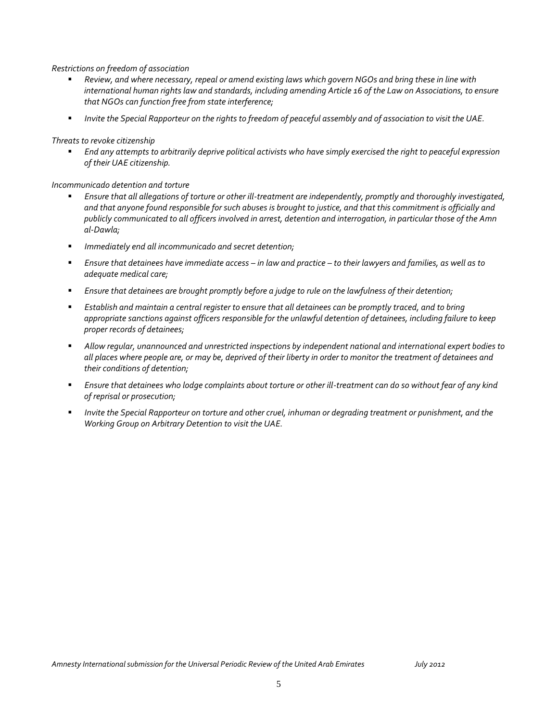#### *Restrictions on freedom of association*

- *Review, and where necessary, repeal or amend existing laws which govern NGOs and bring these in line with international human rights law and standards, including amending Article 16 of the Law on Associations, to ensure that NGOs can function free from state interference;*
- *Invite the Special Rapporteur on the rights to freedom of peaceful assembly and of association to visit the UAE.*

*Threats to revoke citizenship*

 *End any attempts to arbitrarily deprive political activists who have simply exercised the right to peaceful expression of their UAE citizenship.*

*Incommunicado detention and torture*

- *Ensure that all allegations of torture or other ill-treatment are independently, promptly and thoroughly investigated, and that anyone found responsible for such abuses is brought to justice, and that this commitment is officially and publicly communicated to all officers involved in arrest, detention and interrogation, in particular those of the Amn al-Dawla;*
- *Immediately end all incommunicado and secret detention;*
- *Ensure that detainees have immediate access – in law and practice – to their lawyers and families, as well as to adequate medical care;*
- *Ensure that detainees are brought promptly before a judge to rule on the lawfulness of their detention;*
- *Establish and maintain a central register to ensure that all detainees can be promptly traced, and to bring appropriate sanctions against officers responsible for the unlawful detention of detainees, including failure to keep proper records of detainees;*
- *Allow regular, unannounced and unrestricted inspections by independent national and international expert bodies to all places where people are, or may be, deprived of their liberty in order to monitor the treatment of detainees and their conditions of detention;*
- *Ensure that detainees who lodge complaints about torture or other ill-treatment can do so without fear of any kind of reprisal or prosecution;*
- *Invite the Special Rapporteur on torture and other cruel, inhuman or degrading treatment or punishment, and the Working Group on Arbitrary Detention to visit the UAE.*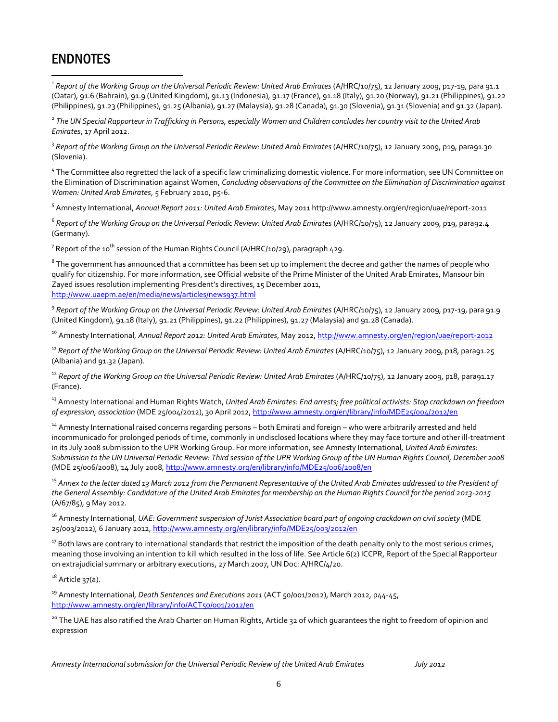# ENDNOTES

 $\overline{a}$ 

<sup>1</sup> Report of the Working Group on the Universal Periodic Review: United Arab Emirates (A/HRC/10/75), 12 January 2009, p17-19, para 91.1 (Qatar), 91.6 (Bahrain), 91.9 (United Kingdom), 91.13 (Indonesia), 91.17 (France), 91.18 (Italy), 91.20 (Norway), 91.21 (Philippines), 91.22 (Philippines), 91.23 (Philippines), 91.25 (Albania), 91.27 (Malaysia), 91.28 (Canada), 91.30 (Slovenia), 91.31 (Slovenia) and 91.32 (Japan).

<sup>2</sup> The UN Special Rapporteur in Trafficking in Persons, especially Women and Children concludes her country visit to the United Arab *Emirates*, 17 April 2012.

<sup>3</sup> Report of the Working Group on the Universal Periodic Review: United Arab Emirates (A/HRC/10/75), 12 January 2009, p19, para91.30 (Slovenia).

<sup>4</sup> The Committee also regretted the lack of a specific law criminalizing domestic violence. For more information, see UN Committee on the Elimination of Discrimination against Women, *Concluding observations of the Committee on the Elimination of Discrimination against Women: United Arab Emirates*, 5 February 2010, p5-6.

5 Amnesty International, *Annual Report 2011: United Arab Emirates*, May 2011 http://www.amnesty.org/en/region/uae/report-2011

<sup>6</sup> Report of the Working Group on the Universal Periodic Review: United Arab Emirates (A/HRC/10/75), 12 January 2009, p19, para92.4 (Germany).

 $^7$  Report of the 10 $^{\rm th}$  session of the Human Rights Council (A/HRC/10/29), paragraph 429.

 $^8$  The government has announced that a committee has been set up to implement the decree and gather the names of people who qualify for citizenship. For more information, see Official website of the Prime Minister of the United Arab Emirates, Mansour bin Zayed issues resolution implementing President's directives, 15 December 2011, <http://www.uaepm.ae/en/media/news/articles/news937.html>

<sup>9</sup> Report of the Working Group on the Universal Periodic Review: United Arab Emirates (A/HRC/10/75), 12 January 2009, p17-19, para 91.9 (United Kingdom), 91.18 (Italy), 91.21 (Philippines), 91.22 (Philippines), 91.27 (Malaysia) and 91.28 (Canada).

<sup>10</sup> Amnesty International, *Annual Report 2012: United Arab Emirates*, May 2012[, http://www.amnesty.org/en/region/uae/report-2012](http://www.amnesty.org/en/region/uae/report-2012)

<sup>11</sup> Report of the Working Group on the Universal Periodic Review: United Arab Emirates (A/HRC/10/75), 12 January 2009, p18, para91.25 (Albania) and 91.32 (Japan).

<sup>12</sup> Report of the Working Group on the Universal Periodic Review: United Arab Emirates (A/HRC/10/75), 12 January 2009, p18, para91.17 (France).

<sup>13</sup> Amnesty International and Human Rights Watch, *United Arab Emirates: End arrests; free political activists: Stop crackdown on freedom of expression, association* (MDE 25/004/2012), 30 April 2012[, http://www.amnesty.org/en/library/info/MDE25/004/2012/en](http://www.amnesty.org/en/library/info/MDE25/004/2012/en)

<sup>14</sup> Amnesty International raised concerns regarding persons – both Emirati and foreign – who were arbitrarily arrested and held incommunicado for prolonged periods of time, commonly in undisclosed locations where they may face torture and other ill-treatment in its July 2008 submission to the UPR Working Group. For more information, see Amnesty International, *United Arab Emirates: Submission to the UN Universal Periodic Review: Third session of the UPR Working Group of the UN Human Rights Council, December 2008* (MDE 25/006/2008), 14 July 2008[, http://www.amnesty.org/en/library/info/MDE25/006/2008/en](http://www.amnesty.org/en/library/info/MDE25/006/2008/en)

<sup>15</sup> *Annex to the letter dated 13 March 2012 from the Permanent Representative of the United Arab Emirates addressed to the President of the General Assembly: Candidature of the United Arab Emirates for membership on the Human Rights Council for the period 2013-2015* (A/67/85), 9 May 2012.

<sup>16</sup> Amnesty International, *UAE: Government suspension of Jurist Association board part of ongoing crackdown on civil society* (MDE 25/003/2012), 6 January 2012,<http://www.amnesty.org/en/library/info/MDE25/003/2012/en>

 $17$  Both laws are contrary to international standards that restrict the imposition of the death penalty only to the most serious crimes, meaning those involving an intention to kill which resulted in the loss of life. See Article 6(2) ICCPR, Report of the Special Rapporteur on extrajudicial summary or arbitrary executions, 27 March 2007, UN Doc: A/HRC/4/20.

 $18$  Article 37(a).

<sup>19</sup> Amnesty International, *Death Sentences and Executions 2011* (ACT 50/001/2012), March 2012, p44-45, <http://www.amnesty.org/en/library/info/ACT50/001/2012/en>

<sup>20</sup> The UAE has also ratified the Arab Charter on Human Rights, Article 32 of which guarantees the right to freedom of opinion and expression